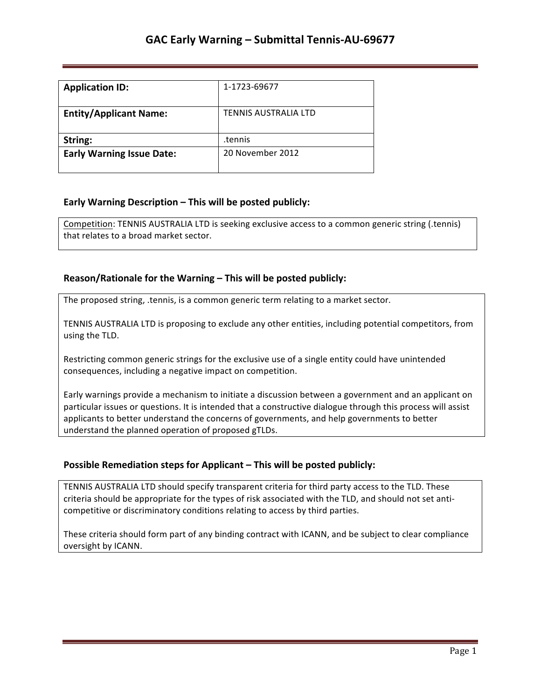| <b>Application ID:</b>           | 1-1723-69677                |
|----------------------------------|-----------------------------|
| <b>Entity/Applicant Name:</b>    | <b>TENNIS AUSTRALIA LTD</b> |
| String:                          | tennis.                     |
| <b>Early Warning Issue Date:</b> | 20 November 2012            |

### **Early Warning Description – This will be posted publicly:**

Competition: TENNIS AUSTRALIA LTD is seeking exclusive access to a common generic string (.tennis) that relates to a broad market sector.

### **Reason/Rationale for the Warning – This will be posted publicly:**

The proposed string, .tennis, is a common generic term relating to a market sector.

TENNIS AUSTRALIA LTD is proposing to exclude any other entities, including potential competitors, from using the TLD.

Restricting common generic strings for the exclusive use of a single entity could have unintended consequences, including a negative impact on competition.

Early warnings provide a mechanism to initiate a discussion between a government and an applicant on particular issues or questions. It is intended that a constructive dialogue through this process will assist applicants to better understand the concerns of governments, and help governments to better understand the planned operation of proposed gTLDs.

#### **Possible Remediation steps for Applicant – This will be posted publicly:**

TENNIS AUSTRALIA LTD should specify transparent criteria for third party access to the TLD. These criteria should be appropriate for the types of risk associated with the TLD, and should not set anticompetitive or discriminatory conditions relating to access by third parties.

These criteria should form part of any binding contract with ICANN, and be subject to clear compliance oversight by ICANN.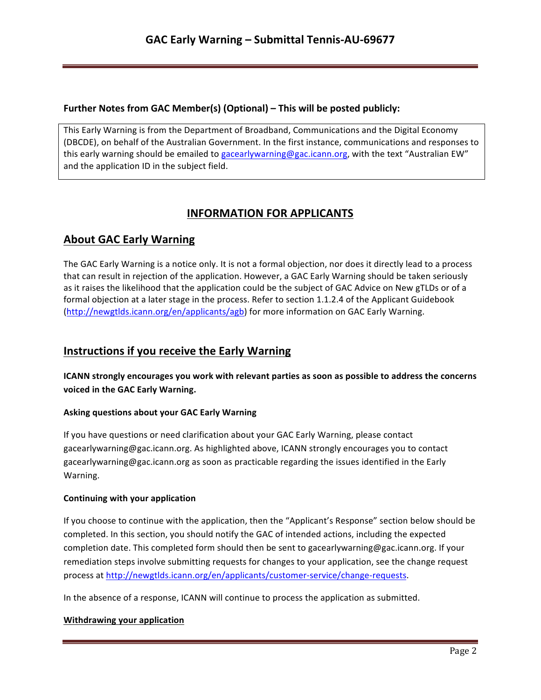## **Further Notes from GAC Member(s) (Optional) – This will be posted publicly:**

This Early Warning is from the Department of Broadband, Communications and the Digital Economy (DBCDE), on behalf of the Australian Government. In the first instance, communications and responses to this early warning should be emailed to gacearlywarning@gac.icann.org, with the text "Australian EW" and the application ID in the subject field.

# **INFORMATION FOR APPLICANTS**

# **About GAC Early Warning**

The GAC Early Warning is a notice only. It is not a formal objection, nor does it directly lead to a process that can result in rejection of the application. However, a GAC Early Warning should be taken seriously as it raises the likelihood that the application could be the subject of GAC Advice on New gTLDs or of a formal objection at a later stage in the process. Refer to section 1.1.2.4 of the Applicant Guidebook (http://newgtlds.icann.org/en/applicants/agb) for more information on GAC Early Warning.

# **Instructions if you receive the Early Warning**

**ICANN** strongly encourages you work with relevant parties as soon as possible to address the concerns voiced in the GAC Early Warning.

### **Asking questions about your GAC Early Warning**

If you have questions or need clarification about your GAC Early Warning, please contact gacearlywarning@gac.icann.org. As highlighted above, ICANN strongly encourages you to contact gacearlywarning@gac.icann.org as soon as practicable regarding the issues identified in the Early Warning. 

#### **Continuing with your application**

If you choose to continue with the application, then the "Applicant's Response" section below should be completed. In this section, you should notify the GAC of intended actions, including the expected completion date. This completed form should then be sent to gacearlywarning@gac.icann.org. If your remediation steps involve submitting requests for changes to your application, see the change request process at http://newgtlds.icann.org/en/applicants/customer-service/change-requests.

In the absence of a response, ICANN will continue to process the application as submitted.

#### **Withdrawing your application**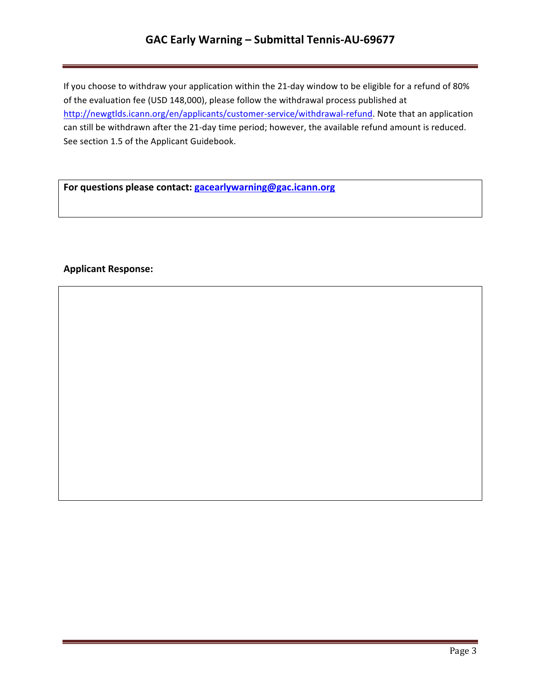# GAC Early Warning - Submittal Tennis-AU-69677

If you choose to withdraw your application within the 21-day window to be eligible for a refund of 80% of the evaluation fee (USD 148,000), please follow the withdrawal process published at http://newgtlds.icann.org/en/applicants/customer-service/withdrawal-refund. Note that an application can still be withdrawn after the 21-day time period; however, the available refund amount is reduced. See section 1.5 of the Applicant Guidebook.

For questions please contact: **gacearlywarning@gac.icann.org** 

### **Applicant Response:**